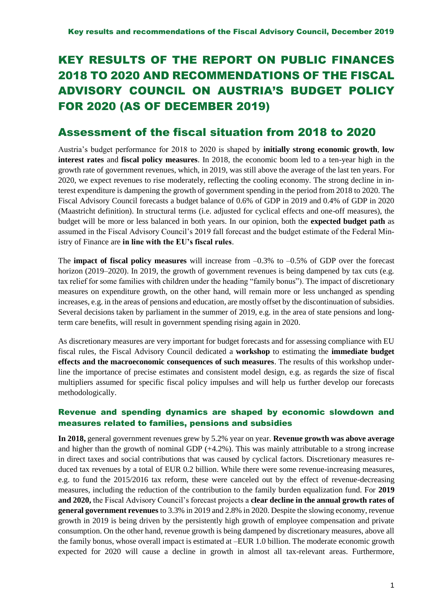# KEY RESULTS OF THE REPORT ON PUBLIC FINANCES 2018 TO 2020 AND RECOMMENDATIONS OF THE FISCAL ADVISORY COUNCIL ON AUSTRIA'S BUDGET POLICY FOR 2020 (AS OF DECEMBER 2019)

# Assessment of the fiscal situation from 2018 to 2020

Austria's budget performance for 2018 to 2020 is shaped by **initially strong economic growth**, **low interest rates** and **fiscal policy measures**. In 2018, the economic boom led to a ten-year high in the growth rate of government revenues, which, in 2019, was still above the average of the last ten years. For 2020, we expect revenues to rise moderately, reflecting the cooling economy. The strong decline in interest expenditure is dampening the growth of government spending in the period from 2018 to 2020. The Fiscal Advisory Council forecasts a budget balance of 0.6% of GDP in 2019 and 0.4% of GDP in 2020 (Maastricht definition). In structural terms (i.e. adjusted for cyclical effects and one-off measures), the budget will be more or less balanced in both years. In our opinion, both the **expected budget path** as assumed in the Fiscal Advisory Council's 2019 fall forecast and the budget estimate of the Federal Ministry of Finance are **in line with the EU's fiscal rules**.

The **impact of fiscal policy measures** will increase from –0.3% to –0.5% of GDP over the forecast horizon (2019–2020). In 2019, the growth of government revenues is being dampened by tax cuts (e.g. tax relief for some families with children under the heading "family bonus"). The impact of discretionary measures on expenditure growth, on the other hand, will remain more or less unchanged as spending increases, e.g. in the areas of pensions and education, are mostly offset by the discontinuation of subsidies. Several decisions taken by parliament in the summer of 2019, e.g. in the area of state pensions and longterm care benefits, will result in government spending rising again in 2020.

As discretionary measures are very important for budget forecasts and for assessing compliance with EU fiscal rules, the Fiscal Advisory Council dedicated a **workshop** to estimating the **immediate budget effects and the macroeconomic consequences of such measures**. The results of this workshop underline the importance of precise estimates and consistent model design, e.g. as regards the size of fiscal multipliers assumed for specific fiscal policy impulses and will help us further develop our forecasts methodologically.

# Revenue and spending dynamics are shaped by economic slowdown and measures related to families, pensions and subsidies

**In 2018,** general government revenues grew by 5.2% year on year. **Revenue growth was above average**  and higher than the growth of nominal GDP (+4.2%). This was mainly attributable to a strong increase in direct taxes and social contributions that was caused by cyclical factors. Discretionary measures reduced tax revenues by a total of EUR 0.2 billion. While there were some revenue-increasing measures, e.g. to fund the 2015/2016 tax reform, these were canceled out by the effect of revenue-decreasing measures, including the reduction of the contribution to the family burden equalization fund. For **2019 and 2020,** the Fiscal Advisory Council's forecast projects a **clear decline in the annual growth rates of general government revenues** to 3.3% in 2019 and 2.8% in 2020. Despite the slowing economy, revenue growth in 2019 is being driven by the persistently high growth of employee compensation and private consumption. On the other hand, revenue growth is being dampened by discretionary measures, above all the family bonus, whose overall impact is estimated at –EUR 1.0 billion. The moderate economic growth expected for 2020 will cause a decline in growth in almost all tax-relevant areas. Furthermore,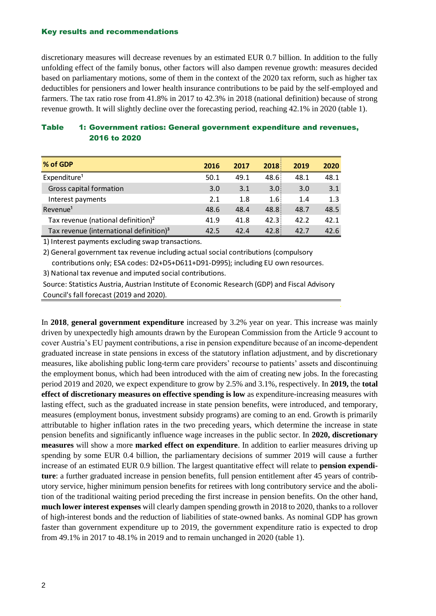discretionary measures will decrease revenues by an estimated EUR 0.7 billion. In addition to the fully unfolding effect of the family bonus, other factors will also dampen revenue growth: measures decided based on parliamentary motions, some of them in the context of the 2020 tax reform, such as higher tax deductibles for pensioners and lower health insurance contributions to be paid by the self-employed and farmers. The tax ratio rose from 41.8% in 2017 to 42.3% in 2018 (national definition) because of strong revenue growth. It will slightly decline over the forecasting period, reaching 42.1% in 2020 (table 1).

| <b>Table</b> | 1: Government ratios: General government expenditure and revenues, |
|--------------|--------------------------------------------------------------------|
|              | <b>2016 to 2020</b>                                                |

| % of GDP                                            | 2016 | 2017 | 2018 | 2019 | 2020 |
|-----------------------------------------------------|------|------|------|------|------|
| Expenditure <sup>1</sup>                            | 50.1 | 49.1 | 48.6 | 48.1 | 48.1 |
| Gross capital formation                             | 3.0  | 3.1  | 3.0  | 3.0  | 3.1  |
| Interest payments                                   | 2.1  | 1.8  | 1.6  | 1.4  | 1.3  |
| Revenue <sup>1</sup>                                | 48.6 | 48.4 | 48.8 | 48.7 | 48.5 |
| Tax revenue (national definition) <sup>2</sup>      | 41.9 | 41.8 | 42.3 | 42.2 | 42.1 |
| Tax revenue (international definition) <sup>3</sup> | 42.5 | 42.4 | 42.8 | 42.7 | 42.6 |

1) Interest payments excluding swap transactions.

2) General government tax revenue including actual social contributions (compulsory contributions only; ESA codes: D2+D5+D611+D91-D995); including EU own resources.

3) National tax revenue and imputed social contributions.

Source: Statistics Austria, Austrian Institute of Economic Research (GDP) and Fiscal Advisory Council's fall forecast (2019 and 2020).

In **2018**, **general government expenditure** increased by 3.2% year on year. This increase was mainly driven by unexpectedly high amounts drawn by the European Commission from the Article 9 account to cover Austria's EU payment contributions, a rise in pension expenditure because of an income-dependent graduated increase in state pensions in excess of the statutory inflation adjustment, and by discretionary measures, like abolishing public long-term care providers' recourse to patients' assets and discontinuing the employment bonus, which had been introduced with the aim of creating new jobs. In the forecasting period 2019 and 2020, we expect expenditure to grow by 2.5% and 3.1%, respectively. In **2019,** the **total effect of discretionary measures on effective spending is low** as expenditure-increasing measures with lasting effect, such as the graduated increase in state pension benefits, were introduced, and temporary, measures (employment bonus, investment subsidy programs) are coming to an end. Growth is primarily attributable to higher inflation rates in the two preceding years, which determine the increase in state pension benefits and significantly influence wage increases in the public sector. In **2020, discretionary measures** will show a more **marked effect on expenditure**. In addition to earlier measures driving up spending by some EUR 0.4 billion, the parliamentary decisions of summer 2019 will cause a further increase of an estimated EUR 0.9 billion. The largest quantitative effect will relate to **pension expenditure**: a further graduated increase in pension benefits, full pension entitlement after 45 years of contributory service, higher minimum pension benefits for retirees with long contributory service and the abolition of the traditional waiting period preceding the first increase in pension benefits. On the other hand, **much lower interest expenses** will clearly dampen spending growth in 2018 to 2020, thanks to a rollover of high-interest bonds and the reduction of liabilities of state-owned banks. As nominal GDP has grown faster than government expenditure up to 2019, the government expenditure ratio is expected to drop from 49.1% in 2017 to 48.1% in 2019 and to remain unchanged in 2020 (table 1).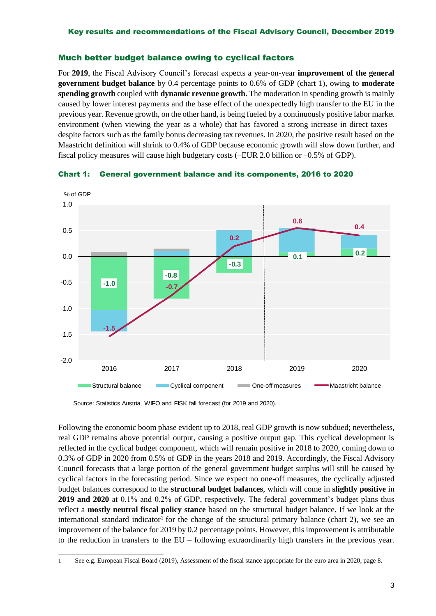## Much better budget balance owing to cyclical factors

For **2019**, the Fiscal Advisory Council's forecast expects a year-on-year **improvement of the general government budget balance** by 0.4 percentage points to 0.6% of GDP (chart 1), owing to **moderate spending growth** coupled with **dynamic revenue growth**. The moderation in spending growth is mainly caused by lower interest payments and the base effect of the unexpectedly high transfer to the EU in the previous year. Revenue growth, on the other hand, is being fueled by a continuously positive labor market environment (when viewing the year as a whole) that has favored a strong increase in direct taxes – despite factors such as the family bonus decreasing tax revenues. In 2020, the positive result based on the Maastricht definition will shrink to 0.4% of GDP because economic growth will slow down further, and fiscal policy measures will cause high budgetary costs (–EUR 2.0 billion or –0.5% of GDP).



Chart 1: General government balance and its components, 2016 to 2020

Source: Statistics Austria, WIFO and FISK fall forecast (for 2019 and 2020).

Following the economic boom phase evident up to 2018, real GDP growth is now subdued; nevertheless, real GDP remains above potential output, causing a positive output gap. This cyclical development is reflected in the cyclical budget component, which will remain positive in 2018 to 2020, coming down to 0.3% of GDP in 2020 from 0.5% of GDP in the years 2018 and 2019. Accordingly, the Fiscal Advisory Council forecasts that a large portion of the general government budget surplus will still be caused by cyclical factors in the forecasting period. Since we expect no one-off measures, the cyclically adjusted budget balances correspond to the **structural budget balances**, which will come in **slightly positive** in **2019 and 2020** at 0.1% and 0.2% of GDP, respectively. The federal government's budget plans thus reflect a **mostly neutral fiscal policy stance** based on the structural budget balance. If we look at the international standard indicator<sup>1</sup> for the change of the structural primary balance (chart 2), we see an improvement of the balance for 2019 by 0.2 percentage points. However, this improvement is attributable to the reduction in transfers to the EU – following extraordinarily high transfers in the previous year.

<sup>-</sup>1 See e.g. European Fiscal Board (2019), Assessment of the fiscal stance appropriate for the euro area in 2020, page 8.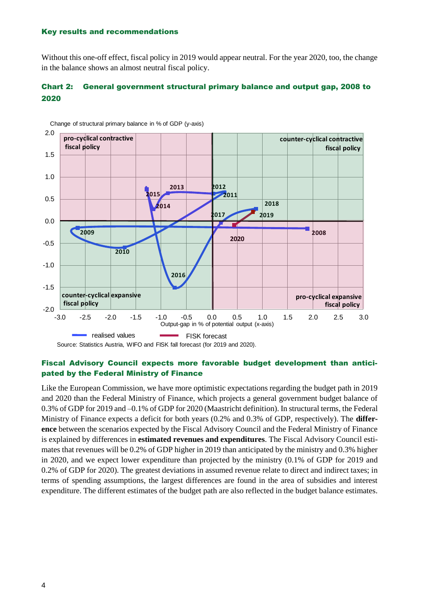Without this one-off effect, fiscal policy in 2019 would appear neutral. For the year 2020, too, the change in the balance shows an almost neutral fiscal policy.

# Chart 2: General government structural primary balance and output gap, 2008 to 2020



Change of structural primary balance in % of GDP (y-axis)

### Fiscal Advisory Council expects more favorable budget development than anticipated by the Federal Ministry of Finance

Like the European Commission, we have more optimistic expectations regarding the budget path in 2019 and 2020 than the Federal Ministry of Finance, which projects a general government budget balance of 0.3% of GDP for 2019 and –0.1% of GDP for 2020 (Maastricht definition). In structural terms, the Federal Ministry of Finance expects a deficit for both years (0.2% and 0.3% of GDP, respectively). The **difference** between the scenarios expected by the Fiscal Advisory Council and the Federal Ministry of Finance is explained by differences in **estimated revenues and expenditures**. The Fiscal Advisory Council estimates that revenues will be 0.2% of GDP higher in 2019 than anticipated by the ministry and 0.3% higher in 2020, and we expect lower expenditure than projected by the ministry (0.1% of GDP for 2019 and 0.2% of GDP for 2020). The greatest deviations in assumed revenue relate to direct and indirect taxes; in terms of spending assumptions, the largest differences are found in the area of subsidies and interest expenditure. The different estimates of the budget path are also reflected in the budget balance estimates.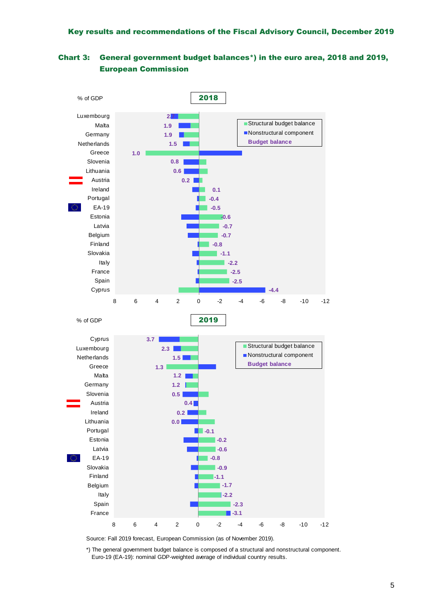



Source: Fall 2019 forecast, European Commission (as of November 2019).

\*) The general government budget balance is composed of a structural and nonstructural component. Euro-19 (EA-19): nominal GDP-weighted average of individual country results.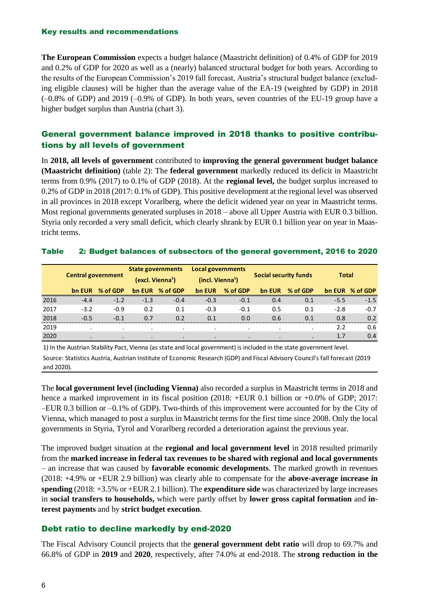**The European Commission** expects a budget balance (Maastricht definition) of 0.4% of GDP for 2019 and 0.2% of GDP for 2020 as well as a (nearly) balanced structural budget for both years. According to the results of the European Commission's 2019 fall forecast, Austria's structural budget balance (excluding eligible clauses) will be higher than the average value of the EA-19 (weighted by GDP) in 2018  $(-0.8\%$  of GDP) and 2019  $(-0.9\%$  of GDP). In both years, seven countries of the EU-19 group have a higher budget surplus than Austria (chart 3).

# General government balance improved in 2018 thanks to positive contributions by all levels of government

In **2018, all levels of government** contributed to **improving the general government budget balance (Maastricht definition)** (table 2): The **federal government** markedly reduced its deficit in Maastricht terms from 0.9% (2017) to 0.1% of GDP (2018). At the **regional level,** the budget surplus increased to 0.2% of GDP in 2018 (2017: 0.1% of GDP). This positive development at the regional level was observed in all provinces in 2018 except Vorarlberg, where the deficit widened year on year in Maastricht terms. Most regional governments generated surpluses in 2018 – above all Upper Austria with EUR 0.3 billion. Styria only recorded a very small deficit, which clearly shrank by EUR 0.1 billion year on year in Maastricht terms.

## Table 2: Budget balances of subsectors of the general government, 2016 to 2020

|      |                           |           | <b>State governments</b>     |           | Local governments            |          |                              |          |              |          |  |
|------|---------------------------|-----------|------------------------------|-----------|------------------------------|----------|------------------------------|----------|--------------|----------|--|
|      | <b>Central government</b> |           | (excl. Vienna <sup>1</sup> ) |           | (incl. Vienna <sup>1</sup> ) |          | <b>Social security funds</b> |          | <b>Total</b> |          |  |
|      | bn EUR                    | % of GDP  | bn EUR                       | % of GDP  | bn EUR                       | % of GDP | bn EUR                       | % of GDP | bn EUR       | % of GDP |  |
| 2016 | $-4.4$                    | $-1.2$    | $-1.3$                       | $-0.4$    | $-0.3$                       | $-0.1$   | 0.4                          | 0.1      | $-5.5$       | $-1.5$   |  |
| 2017 | $-3.2$                    | $-0.9$    | 0.2                          | 0.1       | $-0.3$                       | $-0.1$   | 0.5                          | 0.1      | $-2.8$       | $-0.7$   |  |
| 2018 | $-0.5$                    | $-0.1$    | 0.7                          | 0.2       | 0.1                          | 0.0      | 0.6                          | 0.1      | 0.8          | 0.2      |  |
| 2019 |                           |           |                              |           |                              |          |                              |          | 2.2          | 0.6      |  |
| 2020 |                           | $\bullet$ | $\bullet$                    | $\bullet$ |                              |          |                              |          | 1.7          | 0.4      |  |

1) In the Austrian Stability Pact, Vienna (as state and local government) is included in the state government level.

Source: Statistics Austria, Austrian Institute of Economic Research (GDP) and Fiscal Advisory Council's fall forecast (2019 and 2020).

The **local government level (including Vienna)** also recorded a surplus in Maastricht terms in 2018 and hence a marked improvement in its fiscal position (2018: +EUR 0.1 billion or +0.0% of GDP; 2017: –EUR 0.3 billion or –0.1% of GDP). Two-thirds of this improvement were accounted for by the City of Vienna, which managed to post a surplus in Maastricht terms for the first time since 2008. Only the local governments in Styria, Tyrol and Vorarlberg recorded a deterioration against the previous year.

The improved budget situation at the **regional and local government level** in 2018 resulted primarily from the **marked increase in federal tax revenues to be shared with regional and local governments** – an increase that was caused by **favorable economic developments**. The marked growth in revenues (2018: +4.9% or +EUR 2.9 billion) was clearly able to compensate for the **above-average increase in spending** (2018: +3.5% or +EUR 2.1 billion). The **expenditure side** was characterized by large increases in **social transfers to households,** which were partly offset by **lower gross capital formation** and **interest payments** and by **strict budget execution**.

# Debt ratio to decline markedly by end-2020

The Fiscal Advisory Council projects that the **general government debt ratio** will drop to 69.7% and 66.8% of GDP in **2019** and **2020**, respectively, after 74.0% at end-2018. The **strong reduction in the**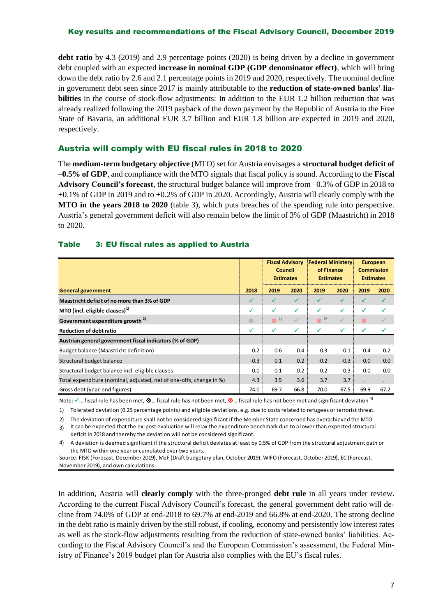### Key results and recommendations of the Fiscal Advisory Council, December 2019

**debt ratio** by 4.3 (2019) and 2.9 percentage points (2020) is being driven by a decline in government debt coupled with an expected **increase in nominal GDP (GDP denominator effect)**, which will bring down the debt ratio by 2.6 and 2.1 percentage points in 2019 and 2020, respectively. The nominal decline in government debt seen since 2017 is mainly attributable to the **reduction of state-owned banks' liabilities** in the course of stock-flow adjustments: In addition to the EUR 1.2 billion reduction that was already realized following the 2019 payback of the down payment by the Republic of Austria to the Free State of Bavaria, an additional EUR 3.7 billion and EUR 1.8 billion are expected in 2019 and 2020, respectively.

# Austria will comply with EU fiscal rules in 2018 to 2020

The **medium-term budgetary objective** (MTO) set for Austria envisages a **structural budget deficit of –0.5% of GDP**, and compliance with the MTO signals that fiscal policy is sound. According to the **Fiscal Advisory Council's forecast**, the structural budget balance will improve from –0.3% of GDP in 2018 to +0.1% of GDP in 2019 and to +0.2% of GDP in 2020. Accordingly, Austria will clearly comply with the **MTO in the years 2018 to 2020** (table 3), which puts breaches of the spending rule into perspective. Austria's general government deficit will also remain below the limit of 3% of GDP (Maastricht) in 2018 to 2020.

# Table 3: EU fiscal rules as applied to Austria

|                                                                     |              | <b>Fiscal Advisory</b><br>Council<br><b>Estimates</b> |              | <b>Federal Ministery</b><br>of Finance<br><b>Estimates</b> |        | <b>European</b><br><b>Commission</b><br><b>Estimates</b> |      |
|---------------------------------------------------------------------|--------------|-------------------------------------------------------|--------------|------------------------------------------------------------|--------|----------------------------------------------------------|------|
| <b>General government</b>                                           | 2018         | 2019                                                  | 2020         | 2019                                                       | 2020   | 2019                                                     | 2020 |
| Maastricht deficit of no more than 3% of GDP                        | ✔            |                                                       | √            |                                                            |        | ✓                                                        |      |
| MTO (incl. eligible clauses) $1$                                    | $\checkmark$ | √                                                     | $\checkmark$ | ✓                                                          | ✓      | ✓                                                        |      |
| Government expenditure growth <sup>2)</sup>                         |              | $\otimes$ 3)                                          |              | $\otimes$ <sup>3)</sup>                                    |        | $\otimes$                                                |      |
| <b>Reduction of debt ratio</b>                                      | ✓            | ✓                                                     | ✓            | ✓                                                          | ✓      | ✓                                                        |      |
| Austrian general government fiscal indicators (% of GDP)            |              |                                                       |              |                                                            |        |                                                          |      |
| Budget balance (Maastricht definition)                              | 0.2          | 0.6                                                   | 0.4          | 0.3                                                        | $-0.1$ | 0.4                                                      | 0.2  |
| Structural budget balance                                           | $-0.3$       | 0.1                                                   | 0.2          | $-0.2$                                                     | $-0.3$ | 0.0                                                      | 0.0  |
| Structural budget balance incl. eligible clauses                    | 0.0          | 0.1                                                   | 0.2          | $-0.2$                                                     | $-0.3$ | 0.0                                                      | 0.0  |
| Total expenditure (nominal, adjusted, net of one-offs, change in %) | 4.3          | 3.5                                                   | 3.6          | 3.7                                                        | 3.7    |                                                          |      |
| Gross debt (year-end figures)                                       |              | 69.7                                                  | 66.8         | 70.0                                                       | 67.5   | 69.9                                                     | 67.2 |

Note:  $\checkmark$  ... fiscal rule has been met,  $\otimes$  ... fiscal rule has not been met,  $\otimes$  ... fiscal rule has not been met and significant deviation <sup>4)</sup>

1) Tolerated deviation (0.25 percentage points) and eligible deviations, e.g. due to costs related to refugees or terrorist threat.

2) The deviation of expenditure shall not be considered significant if the Member State concerned has overachieved the MTO. 3) It can be expected that the ex-post evaluation will relax the expenditure benchmark due to a lower than expected structural

deficit in 2018 and thereby the deviation will not be considered significant.

4) A deviation is deemed significant if the structural deficit deviates at least by 0.5% of GDP from the structural adjustment path or the MTO within one year or cumulated over two years.

Source: FISK (Forecast, December 2019), MoF (Draft budgetary plan, October 2019), WIFO (Forecast, October 2019), EC (Forecast, November 2019), and own calculations.

In addition, Austria will **clearly comply** with the three-pronged **debt rule** in all years under review. According to the current Fiscal Advisory Council's forecast, the general government debt ratio will decline from 74.0% of GDP at end-2018 to 69.7% at end-2019 and 66.8% at end-2020. The strong decline in the debt ratio is mainly driven by the still robust, if cooling, economy and persistently low interest rates as well as the stock-flow adjustments resulting from the reduction of state-owned banks' liabilities. According to the Fiscal Advisory Council's and the European Commission's assessment, the Federal Ministry of Finance's 2019 budget plan for Austria also complies with the EU's fiscal rules.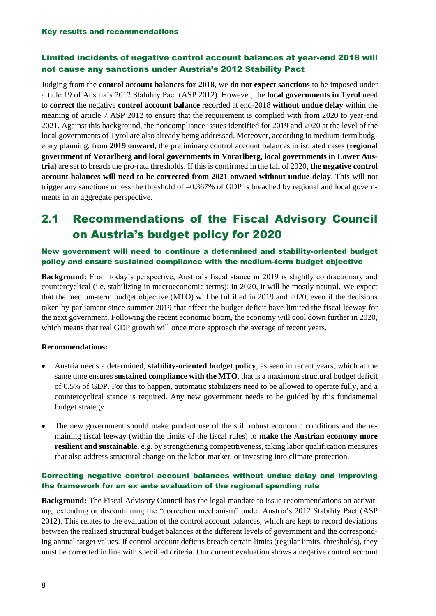# Limited incidents of negative control account balances at year-end 2018 will not cause any sanctions under Austria's 2012 Stability Pact

Judging from the **control account balances for 2018**, we **do not expect sanctions** to be imposed under article 19 of Austria's 2012 Stability Pact (ASP 2012). However, the **local governments in Tyrol** need to **correct** the negative **control account balance** recorded at end-2018 **without undue delay** within the meaning of article 7 ASP 2012 to ensure that the requirement is complied with from 2020 to year-end 2021. Against this background, the noncompliance issues identified for 2019 and 2020 at the level of the local governments of Tyrol are also already being addressed. Moreover, according to medium-term budgetary planning, from **2019 onward,** the preliminary control account balances in isolated cases (**regional government of Vorarlberg and local governments in Vorarlberg, local governments in Lower Austria**) are set to breach the pro-rata thresholds. If this is confirmed in the fall of 2020, **the negative control account balances will need to be corrected from 2021 onward without undue delay**. This will not trigger any sanctions unless the threshold of –0.367% of GDP is breached by regional and local governments in an aggregate perspective.

# 2.1 Recommendations of the Fiscal Advisory Council on Austria's budget policy for 2020

# New government will need to continue a determined and stability-oriented budget policy and ensure sustained compliance with the medium-term budget objective

**Background:** From today's perspective, Austria's fiscal stance in 2019 is slightly contractionary and countercyclical (i.e. stabilizing in macroeconomic terms); in 2020, it will be mostly neutral. We expect that the medium-term budget objective (MTO) will be fulfilled in 2019 and 2020, even if the decisions taken by parliament since summer 2019 that affect the budget deficit have limited the fiscal leeway for the next government. Following the recent economic boom, the economy will cool down further in 2020, which means that real GDP growth will once more approach the average of recent years.

# **Recommendations:**

- Austria needs a determined, **stability-oriented budget policy**, as seen in recent years, which at the same time ensures **sustained compliance with the MTO**, that is a maximum structural budget deficit of 0.5% of GDP. For this to happen, automatic stabilizers need to be allowed to operate fully, and a countercyclical stance is required. Any new government needs to be guided by this fundamental budget strategy.
- The new government should make prudent use of the still robust economic conditions and the remaining fiscal leeway (within the limits of the fiscal rules) to **make the Austrian economy more resilient and sustainable**, e.g. by strengthening competitiveness, taking labor qualification measures that also address structural change on the labor market, or investing into climate protection.

# Correcting negative control account balances without undue delay and improving the framework for an ex ante evaluation of the regional spending rule

**Background:** The Fiscal Advisory Council has the legal mandate to issue recommendations on activating, extending or discontinuing the "correction mechanism" under Austria's 2012 Stability Pact (ASP 2012). This relates to the evaluation of the control account balances, which are kept to record deviations between the realized structural budget balances at the different levels of government and the corresponding annual target values. If control account deficits breach certain limits (regular limits, thresholds), they must be corrected in line with specified criteria. Our current evaluation shows a negative control account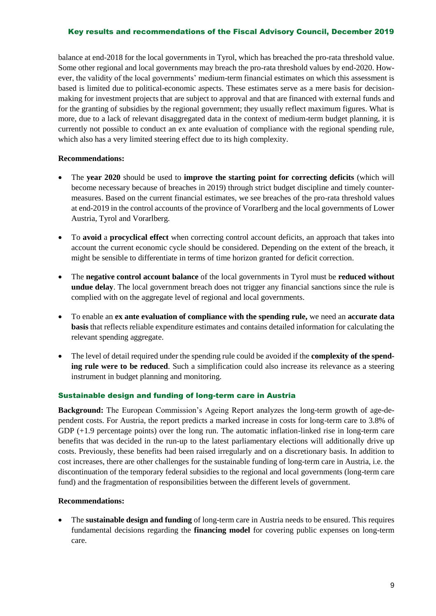## Key results and recommendations of the Fiscal Advisory Council, December 2019

balance at end-2018 for the local governments in Tyrol, which has breached the pro-rata threshold value. Some other regional and local governments may breach the pro-rata threshold values by end-2020. However, the validity of the local governments' medium-term financial estimates on which this assessment is based is limited due to political-economic aspects. These estimates serve as a mere basis for decisionmaking for investment projects that are subject to approval and that are financed with external funds and for the granting of subsidies by the regional government; they usually reflect maximum figures. What is more, due to a lack of relevant disaggregated data in the context of medium-term budget planning, it is currently not possible to conduct an ex ante evaluation of compliance with the regional spending rule, which also has a very limited steering effect due to its high complexity.

## **Recommendations:**

- The **year 2020** should be used to **improve the starting point for correcting deficits** (which will become necessary because of breaches in 2019) through strict budget discipline and timely countermeasures. Based on the current financial estimates, we see breaches of the pro-rata threshold values at end-2019 in the control accounts of the province of Vorarlberg and the local governments of Lower Austria, Tyrol and Vorarlberg.
- To **avoid** a **procyclical effect** when correcting control account deficits, an approach that takes into account the current economic cycle should be considered. Depending on the extent of the breach, it might be sensible to differentiate in terms of time horizon granted for deficit correction.
- The **negative control account balance** of the local governments in Tyrol must be **reduced without undue delay**. The local government breach does not trigger any financial sanctions since the rule is complied with on the aggregate level of regional and local governments.
- To enable an **ex ante evaluation of compliance with the spending rule,** we need an **accurate data basis** that reflects reliable expenditure estimates and contains detailed information for calculating the relevant spending aggregate.
- The level of detail required under the spending rule could be avoided if the **complexity of the spending rule were to be reduced**. Such a simplification could also increase its relevance as a steering instrument in budget planning and monitoring.

### Sustainable design and funding of long-term care in Austria

**Background:** The European Commission's Ageing Report analyzes the long-term growth of age-dependent costs. For Austria, the report predicts a marked increase in costs for long-term care to 3.8% of GDP  $(+1.9$  percentage points) over the long run. The automatic inflation-linked rise in long-term care benefits that was decided in the run-up to the latest parliamentary elections will additionally drive up costs. Previously, these benefits had been raised irregularly and on a discretionary basis. In addition to cost increases, there are other challenges for the sustainable funding of long-term care in Austria, i.e. the discontinuation of the temporary federal subsidies to the regional and local governments (long-term care fund) and the fragmentation of responsibilities between the different levels of government.

### **Recommendations:**

• The **sustainable design and funding** of long-term care in Austria needs to be ensured. This requires fundamental decisions regarding the **financing model** for covering public expenses on long-term care.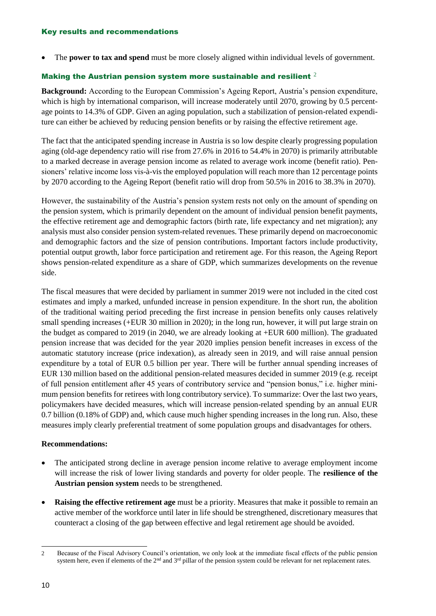• The **power to tax and spend** must be more closely aligned within individual levels of government.

## Making the Austrian pension system more sustainable and resilient  $2$

**Background:** According to the European Commission's Ageing Report, Austria's pension expenditure, which is high by international comparison, will increase moderately until 2070, growing by 0.5 percentage points to 14.3% of GDP. Given an aging population, such a stabilization of pension-related expenditure can either be achieved by reducing pension benefits or by raising the effective retirement age.

The fact that the anticipated spending increase in Austria is so low despite clearly progressing population aging (old-age dependency ratio will rise from 27.6% in 2016 to 54.4% in 2070) is primarily attributable to a marked decrease in average pension income as related to average work income (benefit ratio). Pensioners' relative income loss vis-à-vis the employed population will reach more than 12 percentage points by 2070 according to the Ageing Report (benefit ratio will drop from 50.5% in 2016 to 38.3% in 2070).

However, the sustainability of the Austria's pension system rests not only on the amount of spending on the pension system, which is primarily dependent on the amount of individual pension benefit payments, the effective retirement age and demographic factors (birth rate, life expectancy and net migration); any analysis must also consider pension system-related revenues. These primarily depend on macroeconomic and demographic factors and the size of pension contributions. Important factors include productivity, potential output growth, labor force participation and retirement age. For this reason, the Ageing Report shows pension-related expenditure as a share of GDP, which summarizes developments on the revenue side.

The fiscal measures that were decided by parliament in summer 2019 were not included in the cited cost estimates and imply a marked, unfunded increase in pension expenditure. In the short run, the abolition of the traditional waiting period preceding the first increase in pension benefits only causes relatively small spending increases (+EUR 30 million in 2020); in the long run, however, it will put large strain on the budget as compared to 2019 (in 2040, we are already looking at +EUR 600 million). The graduated pension increase that was decided for the year 2020 implies pension benefit increases in excess of the automatic statutory increase (price indexation), as already seen in 2019, and will raise annual pension expenditure by a total of EUR 0.5 billion per year. There will be further annual spending increases of EUR 130 million based on the additional pension-related measures decided in summer 2019 (e.g. receipt of full pension entitlement after 45 years of contributory service and "pension bonus," i.e. higher minimum pension benefits for retirees with long contributory service). To summarize: Over the last two years, policymakers have decided measures, which will increase pension-related spending by an annual EUR 0.7 billion (0.18% of GDP) and, which cause much higher spending increases in the long run. Also, these measures imply clearly preferential treatment of some population groups and disadvantages for others.

### **Recommendations:**

- The anticipated strong decline in average pension income relative to average employment income will increase the risk of lower living standards and poverty for older people. The **resilience of the Austrian pension system** needs to be strengthened.
- **Raising the effective retirement age** must be a priority. Measures that make it possible to remain an active member of the workforce until later in life should be strengthened, discretionary measures that counteract a closing of the gap between effective and legal retirement age should be avoided.

<sup>1</sup> 2 Because of the Fiscal Advisory Council's orientation, we only look at the immediate fiscal effects of the public pension system here, even if elements of the  $2<sup>nd</sup>$  and  $3<sup>rd</sup>$  pillar of the pension system could be relevant for net replacement rates.